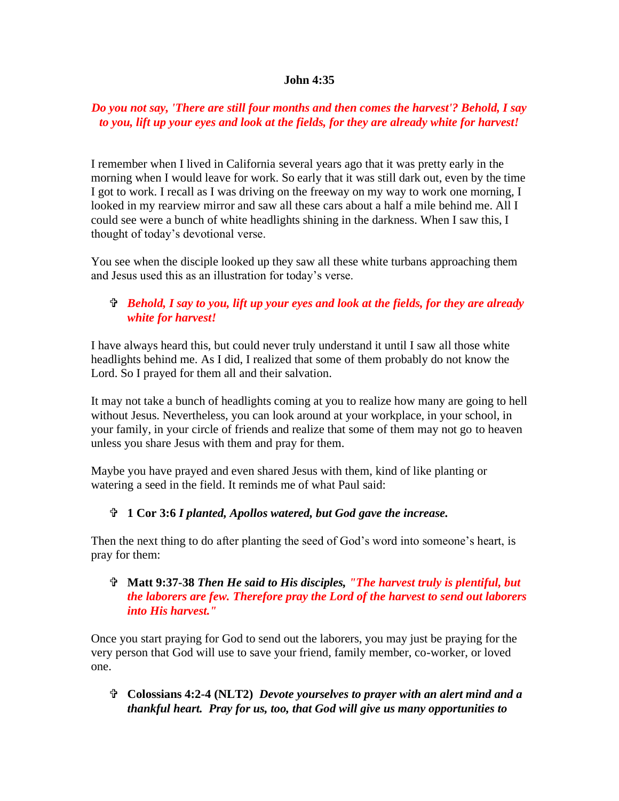#### **John 4:35**

## *Do you not say, 'There are still four months and then comes the harvest'? Behold, I say to you, lift up your eyes and look at the fields, for they are already white for harvest!*

I remember when I lived in California several years ago that it was pretty early in the morning when I would leave for work. So early that it was still dark out, even by the time I got to work. I recall as I was driving on the freeway on my way to work one morning, I looked in my rearview mirror and saw all these cars about a half a mile behind me. All I could see were a bunch of white headlights shining in the darkness. When I saw this, I thought of today's devotional verse.

You see when the disciple looked up they saw all these white turbans approaching them and Jesus used this as an illustration for today's verse.

# *Behold, I say to you, lift up your eyes and look at the fields, for they are already white for harvest!*

I have always heard this, but could never truly understand it until I saw all those white headlights behind me. As I did, I realized that some of them probably do not know the Lord. So I prayed for them all and their salvation.

It may not take a bunch of headlights coming at you to realize how many are going to hell without Jesus. Nevertheless, you can look around at your workplace, in your school, in your family, in your circle of friends and realize that some of them may not go to heaven unless you share Jesus with them and pray for them.

Maybe you have prayed and even shared Jesus with them, kind of like planting or watering a seed in the field. It reminds me of what Paul said:

### **1 Cor 3:6** *I planted, Apollos watered, but God gave the increase.*

Then the next thing to do after planting the seed of God's word into someone's heart, is pray for them:

### **Matt 9:37-38** *Then He said to His disciples, "The harvest truly is plentiful, but the laborers are few. Therefore pray the Lord of the harvest to send out laborers into His harvest."*

Once you start praying for God to send out the laborers, you may just be praying for the very person that God will use to save your friend, family member, co-worker, or loved one.

 **Colossians 4:2-4 (NLT2)** *Devote yourselves to prayer with an alert mind and a thankful heart. Pray for us, too, that God will give us many opportunities to*